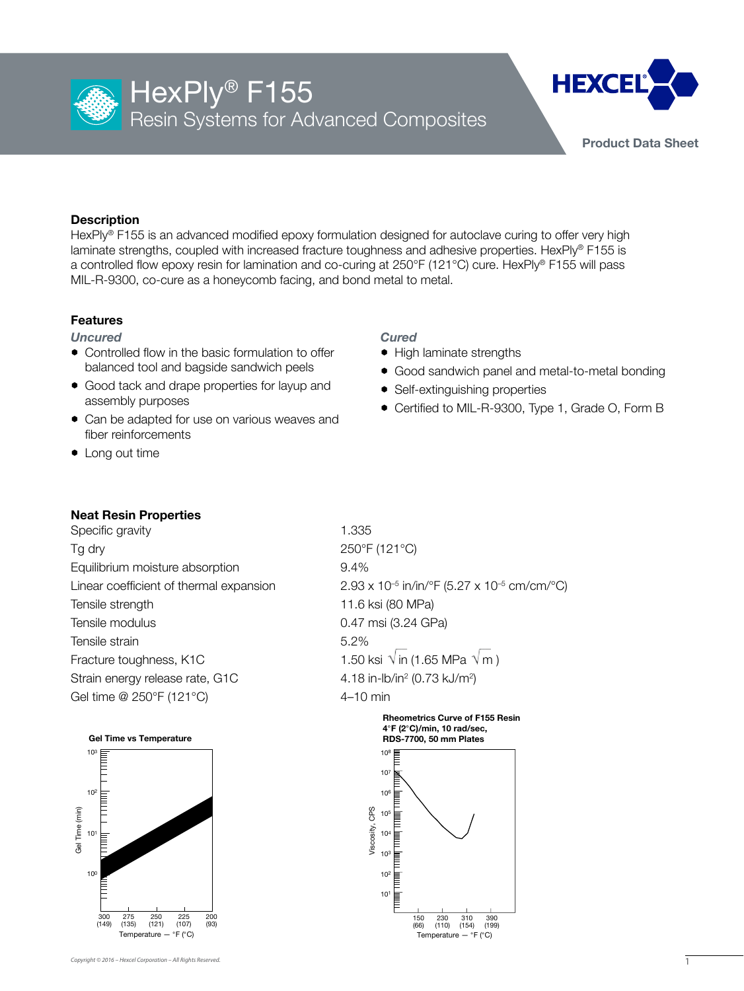

# HexPly<sup>®</sup> F155 Resin Systems for Advanced Composites



**Product Data Sheet**

# **Description**

HexPly® F155 is an advanced modified epoxy formulation designed for autoclave curing to offer very high laminate strengths, coupled with increased fracture toughness and adhesive properties. HexPly® F155 is a controlled flow epoxy resin for lamination and co-curing at 250°F (121°C) cure. HexPly® F155 will pass MIL-R-9300, co-cure as a honeycomb facing, and bond metal to metal.

# **Features**

*Uncured*

- $\bullet$  Controlled flow in the basic formulation to offer balanced tool and bagside sandwich peels
- Good tack and drape properties for layup and assembly purposes
- Can be adapted for use on various weaves and fiber reinforcements
- $\bullet$  Long out time

# *Cured*

- High laminate strengths
- Good sandwich panel and metal-to-metal bonding
- Self-extinguishing properties
- Certified to MIL-R-9300, Type 1, Grade O, Form B

# **Neat Resin Properties**

Specific gravity 1.335 Tg dry 250°F (121°C) Equilibrium moisture absorption 69.4% Tensile strength 11.6 ksi (80 MPa) Tensile modulus 0.47 msi (3.24 GPa) Tensile strain 5.2% Fracture toughness, K1C 1.50 ksi  $\sqrt{\text{in}} (1.65 \text{ MPa } \sqrt{\text{m}})$ Strain energy release rate, G1C Gel time @ 250°F (121°C) 4-10 min



Linear coefficient of thermal expansion  $2.93 \times 10^{-5}$  in/in/ $\degree$ F (5.27 x 10<sup>-5</sup> cm/cm/ $\degree$ C) (0.73 kJ/m2 )

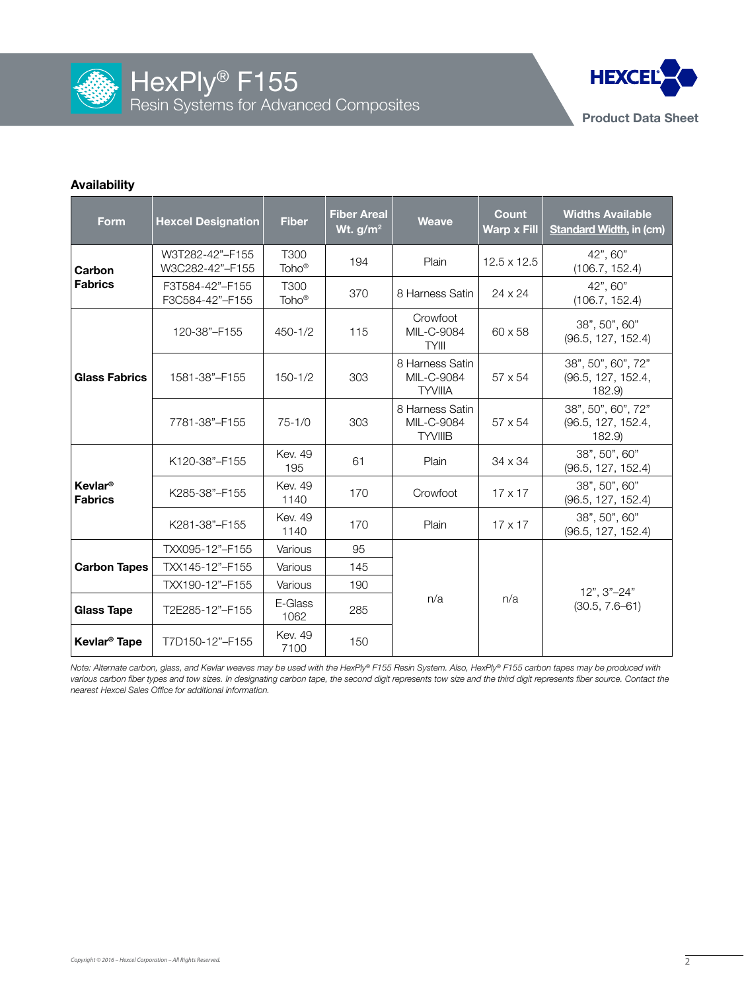



#### **Availability**

| <b>Form</b>                                 | <b>Hexcel Designation</b>                                       | <b>Fiber</b>              | <b>Fiber Areal</b><br>Wt. $g/m^2$ | <b>Weave</b>                                    | Count<br><b>Warp x Fill</b> | <b>Widths Available</b><br><b>Standard Width, in (cm)</b> |  |  |
|---------------------------------------------|-----------------------------------------------------------------|---------------------------|-----------------------------------|-------------------------------------------------|-----------------------------|-----------------------------------------------------------|--|--|
| Carbon                                      | T300<br>W3T282-42"-F155<br>Toho <sup>®</sup><br>W3C282-42"-F155 |                           | 194                               | Plain                                           | $12.5 \times 12.5$          | 42", 60"<br>(106.7, 152.4)                                |  |  |
| <b>Fabrics</b>                              | F3T584-42"-F155<br>F3C584-42"-F155                              | T300<br>Toho <sup>®</sup> | 370                               | 8 Harness Satin                                 | $24 \times 24$              | 42", 60"<br>(106.7, 152.4)                                |  |  |
| <b>Glass Fabrics</b>                        | 120-38"-F155                                                    | $450 - 1/2$               | 115                               | Crowfoot<br>MIL-C-9084<br><b>TYIII</b>          | $60 \times 58$              | 38", 50", 60"<br>(96.5, 127, 152.4)                       |  |  |
|                                             | 1581-38"-F155                                                   | $150 - 1/2$               | 303                               | 8 Harness Satin<br>MIL-C-9084<br><b>TYVIIIA</b> | 57 x 54                     | 38", 50", 60", 72"<br>(96.5, 127, 152.4,<br>182.9         |  |  |
|                                             | 7781-38"-F155                                                   | $75 - 1/0$                | 303                               | 8 Harness Satin<br>MIL-C-9084<br><b>TYVIIIB</b> | 57 x 54                     | 38", 50", 60", 72"<br>(96.5, 127, 152.4,<br>182.9         |  |  |
|                                             | <b>Kev. 49</b><br>K120-38"-F155<br>195                          |                           | 61                                | Plain                                           | $34 \times 34$              | 38", 50", 60"<br>(96.5, 127, 152.4)                       |  |  |
| <b>Kevlar<sup>®</sup></b><br><b>Fabrics</b> | <b>Kev. 49</b><br>K285-38"-F155<br>1140                         |                           | 170                               | Crowfoot                                        | $17 \times 17$              | 38", 50", 60"<br>(96.5, 127, 152.4)                       |  |  |
|                                             | K281-38"-F155                                                   | <b>Kev. 49</b><br>1140    | 170                               | Plain                                           | $17 \times 17$              | 38", 50", 60"<br>(96.5, 127, 152.4)                       |  |  |
| <b>Carbon Tapes</b>                         | TXX095-12"-F155                                                 | Various                   | 95                                |                                                 |                             |                                                           |  |  |
|                                             | TXX145-12"-F155<br>Various                                      |                           | 145                               |                                                 |                             |                                                           |  |  |
|                                             | TXX190-12"-F155                                                 | Various                   | 190                               |                                                 |                             | 12", 3"-24"                                               |  |  |
| <b>Glass Tape</b>                           | T2E285-12"-F155                                                 | E-Glass<br>1062           | 285                               | n/a                                             | n/a                         | $(30.5, 7.6 - 61)$                                        |  |  |
| Kevlar <sup>®</sup> Tape                    | T7D150-12"-F155                                                 | <b>Kev. 49</b><br>7100    | 150                               |                                                 |                             |                                                           |  |  |

*Note: Alternate carbon, glass, and Kevlar weaves may be used with the HexPly® F155 Resin System. Also, HexPly® F155 carbon tapes may be produced with*  various carbon fiber types and tow sizes. In designating carbon tape, the second digit represents tow size and the third digit represents fiber source. Contact the *nearest Hexcel Sales Office for additional information.*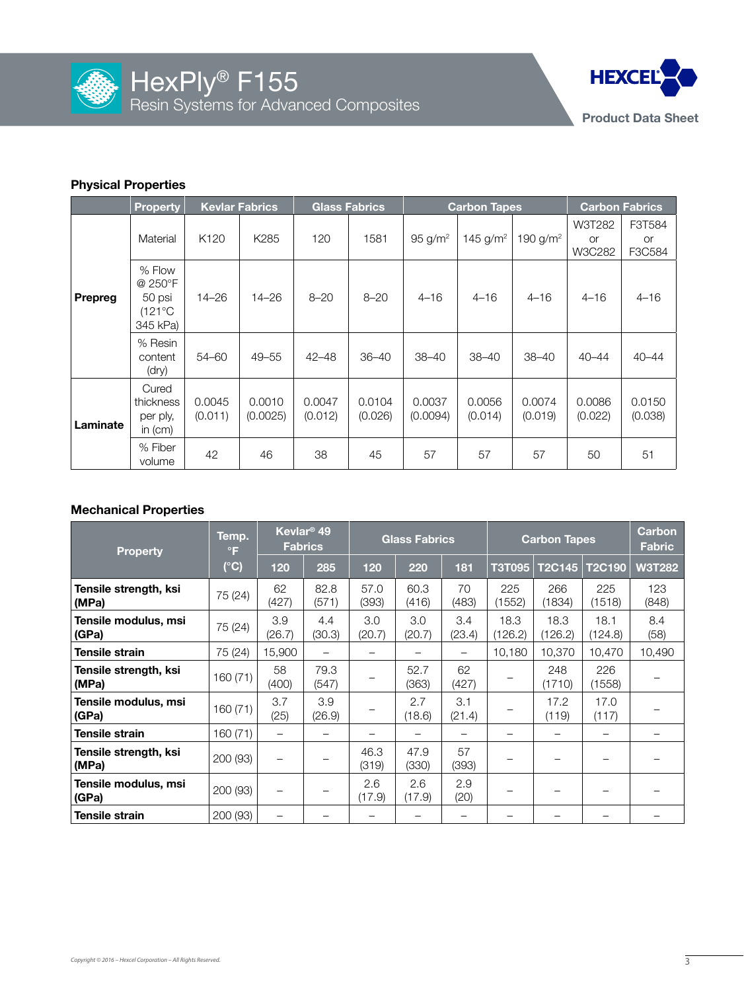



# **Physical Properties**

|                | <b>Kevlar Fabrics</b><br><b>Property</b>                    |                   |                    | <b>Glass Fabrics</b> |                   | <b>Carbon Tapes</b>   | <b>Carbon Fabrics</b> |                   |                        |                               |
|----------------|-------------------------------------------------------------|-------------------|--------------------|----------------------|-------------------|-----------------------|-----------------------|-------------------|------------------------|-------------------------------|
| <b>Prepreg</b> | Material                                                    | K <sub>120</sub>  | K <sub>285</sub>   | 120                  | 1581              | $95$ g/m <sup>2</sup> | 145 $g/m^2$           | 190 $g/m^2$       | W3T282<br>or<br>W3C282 | F3T584<br><b>or</b><br>F3C584 |
|                | % Flow<br>@ 250°F<br>50 psi<br>$(121^{\circ}C)$<br>345 kPa) | $14 - 26$         | $14 - 26$          | $8 - 20$             | $8 - 20$          | $4 - 16$              | $4 - 16$              | $4 - 16$          | $4 - 16$               | $4 - 16$                      |
|                | % Resin<br>content<br>(dry)                                 | 54-60             | $49 - 55$          | $42 - 48$            | $36 - 40$         | $38 - 40$             | $38 - 40$             | $38 - 40$         | $40 - 44$              | $40 - 44$                     |
| Laminate       | Cured<br>thickness<br>per ply,<br>in $(cm)$                 | 0.0045<br>(0.011) | 0.0010<br>(0.0025) | 0.0047<br>(0.012)    | 0.0104<br>(0.026) | 0.0037<br>(0.0094)    | 0.0056<br>(0.014)     | 0.0074<br>(0.019) | 0.0086<br>(0.022)      | 0.0150<br>(0.038)             |
|                | % Fiber<br>volume                                           | 42                | 46                 | 38                   | 45                | 57                    | 57                    | 57                | 50                     | 51                            |

# **Mechanical Properties**

| <b>Property</b>                | Temp.<br>$\circ$ F | Kevlar <sup>®</sup> 49<br><b>Fabrics</b> |               | <b>Glass Fabrics</b> |               |               | <b>Carbon Tapes</b> |                 |                 | <b>Carbon</b><br><b>Fabric</b> |
|--------------------------------|--------------------|------------------------------------------|---------------|----------------------|---------------|---------------|---------------------|-----------------|-----------------|--------------------------------|
|                                | $(^{\circ}C)$      | 120                                      | 285           | 120                  | 220           | 181           | <b>T3T095</b>       | <b>T2C145</b>   | <b>T2C190</b>   | <b>W3T282</b>                  |
| Tensile strength, ksi<br>(MPa) | 75 (24)            | 62<br>(427)                              | 82.8<br>(571) | 57.0<br>(393)        | 60.3<br>(416) | 70<br>(483)   | 225<br>(1552)       | 266<br>(1834)   | 225<br>(1518)   | 123<br>(848)                   |
| Tensile modulus, msi<br>(GPa)  | 75 (24)            | 3.9<br>(26.7)                            | 4.4<br>(30.3) | 3.0<br>(20.7)        | 3.0<br>(20.7) | 3.4<br>(23.4) | 18.3<br>(126.2)     | 18.3<br>(126.2) | 18.1<br>(124.8) | 8.4<br>(58)                    |
| <b>Tensile strain</b>          | 75 (24)            | 15,900                                   |               |                      |               |               | 10,180              | 10,370          | 10,470          | 10,490                         |
| Tensile strength, ksi<br>(MPa) | 160 (71)           | 58<br>(400)                              | 79.3<br>(547) |                      | 52.7<br>(363) | 62<br>(427)   |                     | 248<br>1710     | 226<br>(1558)   |                                |
| Tensile modulus, msi<br>(GPa)  | 160(71)            | 3.7<br>(25)                              | 3.9<br>(26.9) |                      | 2.7<br>(18.6) | 3.1<br>(21.4) |                     | 17.2<br>(119)   | 17.0<br>(117)   |                                |
| <b>Tensile strain</b>          | 160 (71)           | -                                        |               |                      |               |               |                     |                 |                 |                                |
| Tensile strength, ksi<br>(MPa) | 200 (93)           |                                          |               | 46.3<br>(319)        | 47.9<br>(330) | 57<br>(393)   |                     |                 |                 |                                |
| Tensile modulus, msi<br>(GPa)  | 200 (93)           |                                          |               | 2.6<br>(17.9)        | 2.6<br>(17.9) | 2.9<br>(20)   |                     |                 |                 |                                |
| <b>Tensile strain</b>          | 200 (93)           |                                          |               |                      |               |               |                     |                 |                 |                                |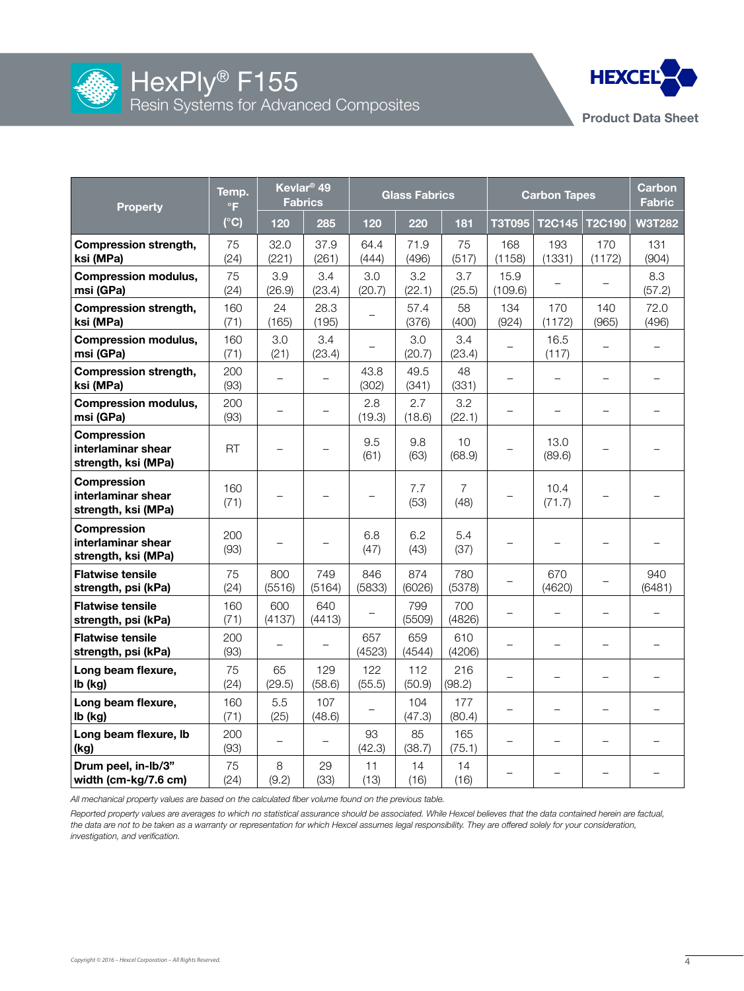



| <b>Property</b>                                                 | Temp.<br>°F   | Kevlar <sup>®</sup> 49<br><b>Fabrics</b> |                   | <b>Glass Fabrics</b> |               |                        | <b>Carbon Tapes</b>      |                          |                          | <b>Carbon</b><br><b>Fabric</b> |
|-----------------------------------------------------------------|---------------|------------------------------------------|-------------------|----------------------|---------------|------------------------|--------------------------|--------------------------|--------------------------|--------------------------------|
|                                                                 | $(^{\circ}C)$ | 120                                      | 285               | 120                  | 220           | 181                    | <b>T3T095</b>            | T2C145                   | T2C190                   | <b>W3T282</b>                  |
| <b>Compression strength,</b><br>ksi (MPa)                       | 75<br>(24)    | 32.0<br>(221)                            | 37.9<br>(261)     | 64.4<br>(444)        | 71.9<br>(496) | 75<br>(517)            | 168<br>(1158)            | 193<br>(1331)            | 170<br>(1172)            | 131<br>(904)                   |
| <b>Compression modulus,</b><br>msi (GPa)                        | 75<br>(24)    | 3.9<br>(26.9)                            | 3.4<br>(23.4)     | 3.0<br>(20.7)        | 3.2<br>(22.1) | 3.7<br>(25.5)          | 15.9<br>(109.6)          | —                        | $\qquad \qquad -$        | 8.3<br>(57.2)                  |
| <b>Compression strength,</b><br>ksi (MPa)                       | 160<br>(71)   | 24<br>(165)                              | 28.3<br>(195)     |                      | 57.4<br>(376) | 58<br>(400)            | 134<br>(924)             | 170<br>(1172)            | 140<br>(965)             | 72.0<br>(496)                  |
| <b>Compression modulus,</b><br>msi (GPa)                        | 160<br>(71)   | 3.0<br>(21)                              | 3.4<br>(23.4)     |                      | 3.0<br>(20.7) | 3.4<br>(23.4)          | —                        | 16.5<br>(117)            | $\overline{\phantom{0}}$ |                                |
| <b>Compression strength,</b><br>ksi (MPa)                       | 200<br>(93)   | $\overline{\phantom{0}}$                 |                   | 43.8<br>(302)        | 49.5<br>(341) | 48<br>(331)            |                          | $\equiv$                 | $\equiv$                 |                                |
| <b>Compression modulus,</b><br>msi (GPa)                        | 200<br>(93)   |                                          |                   | 2.8<br>(19.3)        | 2.7<br>(18.6) | 3.2<br>(22.1)          |                          | $\overline{\phantom{0}}$ | $\overline{\phantom{0}}$ |                                |
| Compression<br>interlaminar shear<br>strength, ksi (MPa)        | <b>RT</b>     | -                                        |                   | 9.5<br>(61)          | 9.8<br>(63)   | 10<br>(68.9)           |                          | 13.0<br>(89.6)           | -                        |                                |
| <b>Compression</b><br>interlaminar shear<br>strength, ksi (MPa) | 160<br>(71)   |                                          |                   |                      | 7.7<br>(53)   | $\overline{7}$<br>(48) |                          | 10.4<br>(71.7)           |                          |                                |
| Compression<br>interlaminar shear<br>strength, ksi (MPa)        | 200<br>(93)   |                                          |                   | 6.8<br>(47)          | 6.2<br>(43)   | 5.4<br>(37)            |                          |                          |                          |                                |
| <b>Flatwise tensile</b><br>strength, psi (kPa)                  | 75<br>(24)    | 800<br>(5516)                            | 749<br>(5164)     | 846<br>(5833)        | 874<br>(6026) | 780<br>(5378)          |                          | 670<br>(4620)            |                          | 940<br>(6481)                  |
| <b>Flatwise tensile</b><br>strength, psi (kPa)                  | 160<br>(71)   | 600<br>(4137)                            | 640<br>(4413)     |                      | 799<br>(5509) | 700<br>(4826)          |                          | $\overline{\phantom{0}}$ | $\overline{\phantom{0}}$ |                                |
| <b>Flatwise tensile</b><br>strength, psi (kPa)                  | 200<br>(93)   |                                          |                   | 657<br>(4523)        | 659<br>(4544) | 610<br>(4206)          |                          | $\overline{\phantom{0}}$ | $\overline{\phantom{0}}$ |                                |
| Long beam flexure,<br>lb (kg)                                   | 75<br>(24)    | 65<br>(29.5)                             | 129<br>(58.6)     | 122<br>(55.5)        | 112<br>(50.9) | 216<br>(98.2)          | $\overline{\phantom{0}}$ | $\overline{\phantom{0}}$ | $\qquad \qquad -$        |                                |
| Long beam flexure,<br>lb (kg)                                   | 160<br>(71)   | 5.5<br>(25)                              | 107<br>(48.6)     |                      | 104<br>(47.3) | 177<br>(80.4)          | $\overline{\phantom{0}}$ | $\equiv$                 | $\overline{\phantom{0}}$ |                                |
| Long beam flexure, lb<br>(kg)                                   | 200<br>(93)   | $\overline{\phantom{0}}$                 | $\qquad \qquad -$ | 93<br>(42.3)         | 85<br>(38.7)  | 165<br>(75.1)          | $\overline{\phantom{0}}$ | $\equiv$                 | $\overline{\phantom{0}}$ |                                |
| Drum peel, in-lb/3"<br>width (cm-kg/7.6 cm)                     | 75<br>(24)    | 8<br>(9.2)                               | 29<br>(33)        | 11<br>(13)           | 14<br>(16)    | 14<br>(16)             |                          |                          |                          |                                |

*All mechanical property values are based on the calculated fiber volume found on the previous table.*

*Reported property values are averages to which no statistical assurance should be associated. While Hexcel believes that the data contained herein are factual, the data are not to be taken as a warranty or representation for which Hexcel assumes legal responsibility. They are offered solely for your consideration, investigation, and verification.*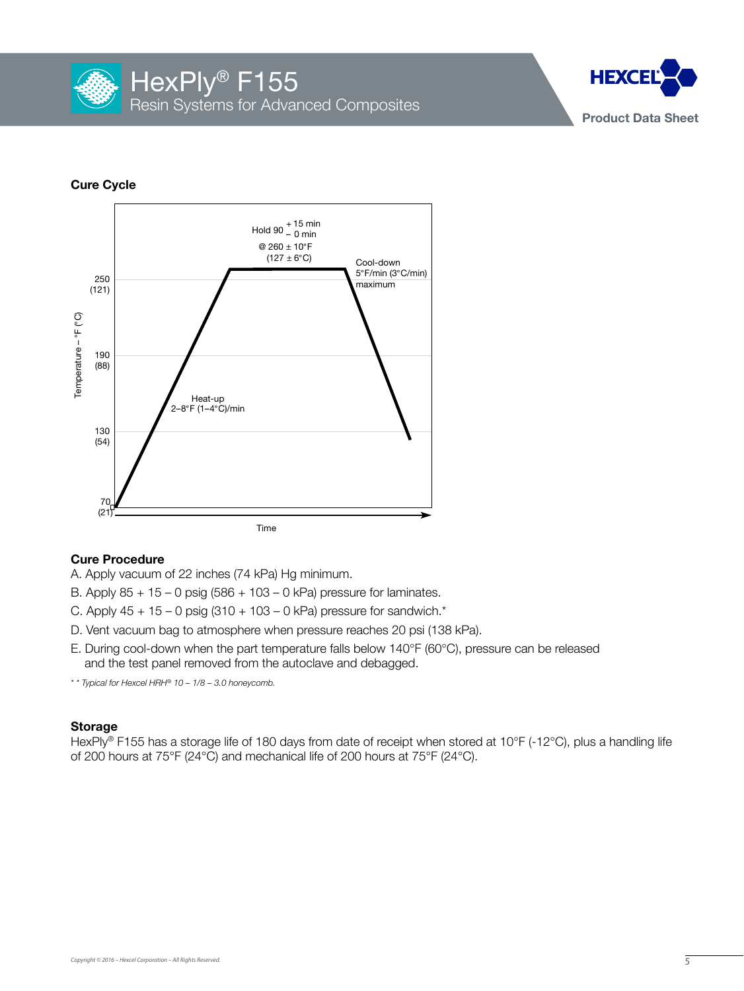



# **Cure Cycle**



#### **Cure Procedure**

- A. Apply vacuum of 22 inches (74 kPa) Hg minimum.
- B. Apply  $85 + 15 0$  psig  $(586 + 103 0$  kPa) pressure for laminates.
- C. Apply  $45 + 15 0$  psig  $(310 + 103 0$  kPa) pressure for sandwich.\*
- D. Vent vacuum bag to atmosphere when pressure reaches 20 psi (138 kPa).
- E. During cool-down when the part temperature falls below 140°F (60°C), pressure can be released and the test panel removed from the autoclave and debagged.
- *\* \* Typical for Hexcel HRH® 10 1/8 3.0 honeycomb.*

#### **Storage**

HexPly® F155 has a storage life of 180 days from date of receipt when stored at 10°F (-12°C), plus a handling life of 200 hours at 75°F (24°C) and mechanical life of 200 hours at 75°F (24°C).